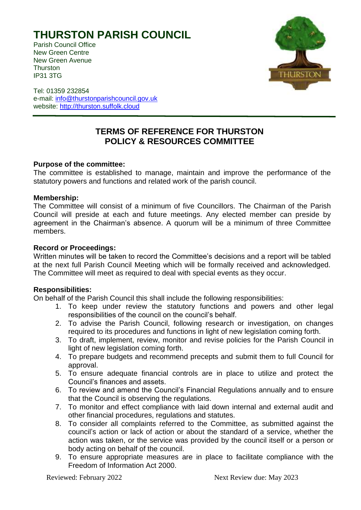# **THURSTON PARISH COUNCIL**

Parish Council Office New Green Centre New Green Avenue **Thurston** IP31 3TG



Tel: 01359 232854 e-mail: [info@thurstonparishcouncil.gov.uk](mailto:info@thurstonparishcouncil.gov.uk) website: [http://thurston.suffolk.cloud](http://thurston.suffolk.cloud/)

# **TERMS OF REFERENCE FOR THURSTON POLICY & RESOURCES COMMITTEE**

# **Purpose of the committee:**

The committee is established to manage, maintain and improve the performance of the statutory powers and functions and related work of the parish council.

#### **Membership:**

The Committee will consist of a minimum of five Councillors. The Chairman of the Parish Council will preside at each and future meetings. Any elected member can preside by agreement in the Chairman's absence. A quorum will be a minimum of three Committee members.

# **Record or Proceedings:**

Written minutes will be taken to record the Committee's decisions and a report will be tabled at the next full Parish Council Meeting which will be formally received and acknowledged. The Committee will meet as required to deal with special events as they occur.

# **Responsibilities:**

On behalf of the Parish Council this shall include the following responsibilities:

- 1. To keep under review the statutory functions and powers and other legal responsibilities of the council on the council's behalf.
- 2. To advise the Parish Council, following research or investigation, on changes required to its procedures and functions in light of new legislation coming forth.
- 3. To draft, implement, review, monitor and revise policies for the Parish Council in light of new legislation coming forth.
- 4. To prepare budgets and recommend precepts and submit them to full Council for approval.
- 5. To ensure adequate financial controls are in place to utilize and protect the Council's finances and assets.
- 6. To review and amend the Council's Financial Regulations annually and to ensure that the Council is observing the regulations.
- 7. To monitor and effect compliance with laid down internal and external audit and other financial procedures, regulations and statutes.
- 8. To consider all complaints referred to the Committee, as submitted against the council's action or lack of action or about the standard of a service, whether the action was taken, or the service was provided by the council itself or a person or body acting on behalf of the council.
- 9. To ensure appropriate measures are in place to facilitate compliance with the Freedom of Information Act 2000.